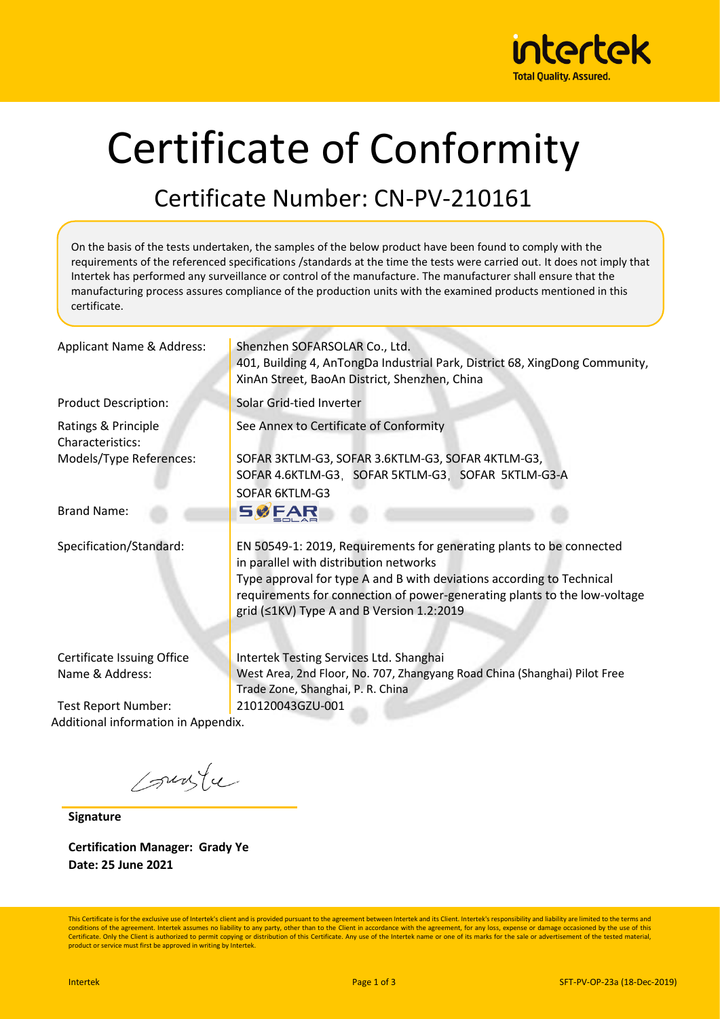

# Certificate of Conformity

## Certificate Number: CN-PV-210161

On the basis of the tests undertaken, the samples of the below product have been found to comply with the requirements of the referenced specifications /standards at the time the tests were carried out. It does not imply that Intertek has performed any surveillance or control of the manufacture. The manufacturer shall ensure that the manufacturing process assures compliance of the production units with the examined products mentioned in this certificate.

| Applicant Name & Address:                                                             | Shenzhen SOFARSOLAR Co., Ltd.<br>401, Building 4, AnTongDa Industrial Park, District 68, XingDong Community,<br>XinAn Street, BaoAn District, Shenzhen, China                                                                                                                                                     |  |  |  |
|---------------------------------------------------------------------------------------|-------------------------------------------------------------------------------------------------------------------------------------------------------------------------------------------------------------------------------------------------------------------------------------------------------------------|--|--|--|
| <b>Product Description:</b>                                                           | Solar Grid-tied Inverter                                                                                                                                                                                                                                                                                          |  |  |  |
| Ratings & Principle<br>Characteristics:                                               | See Annex to Certificate of Conformity                                                                                                                                                                                                                                                                            |  |  |  |
| Models/Type References:                                                               | SOFAR 3KTLM-G3, SOFAR 3.6KTLM-G3, SOFAR 4KTLM-G3,<br>SOFAR 4.6KTLM-G3, SOFAR 5KTLM-G3, SOFAR 5KTLM-G3-A<br>SOFAR 6KTLM-G3                                                                                                                                                                                         |  |  |  |
| <b>Brand Name:</b>                                                                    | <b>SØFAR</b>                                                                                                                                                                                                                                                                                                      |  |  |  |
| Specification/Standard:                                                               | EN 50549-1: 2019, Requirements for generating plants to be connected<br>in parallel with distribution networks<br>Type approval for type A and B with deviations according to Technical<br>requirements for connection of power-generating plants to the low-voltage<br>grid (≤1KV) Type A and B Version 1.2:2019 |  |  |  |
| Certificate Issuing Office<br>Name & Address:                                         | Intertek Testing Services Ltd. Shanghai<br>West Area, 2nd Floor, No. 707, Zhangyang Road China (Shanghai) Pilot Free<br>Trade Zone, Shanghai, P. R. China                                                                                                                                                         |  |  |  |
| 210120043GZU-001<br><b>Test Report Number:</b><br>Additional information in Appendix. |                                                                                                                                                                                                                                                                                                                   |  |  |  |
|                                                                                       |                                                                                                                                                                                                                                                                                                                   |  |  |  |

sunte

**Signature**

**Certification Manager: Grady Ye Date: 25 June 2021**

This Certificate is for the exclusive use of Intertek's client and is provided pursuant to the agreement between Intertek and its Client. Intertek's responsibility and liability are limited to the terms and<br>conditions of t Certificate. Only the Client is authorized to permit copying or distribution of this Certificate. Any use of the Intertek name or one of its marks for the sale or advertisement of the tested material product or service must first be approved in writing by Intertek.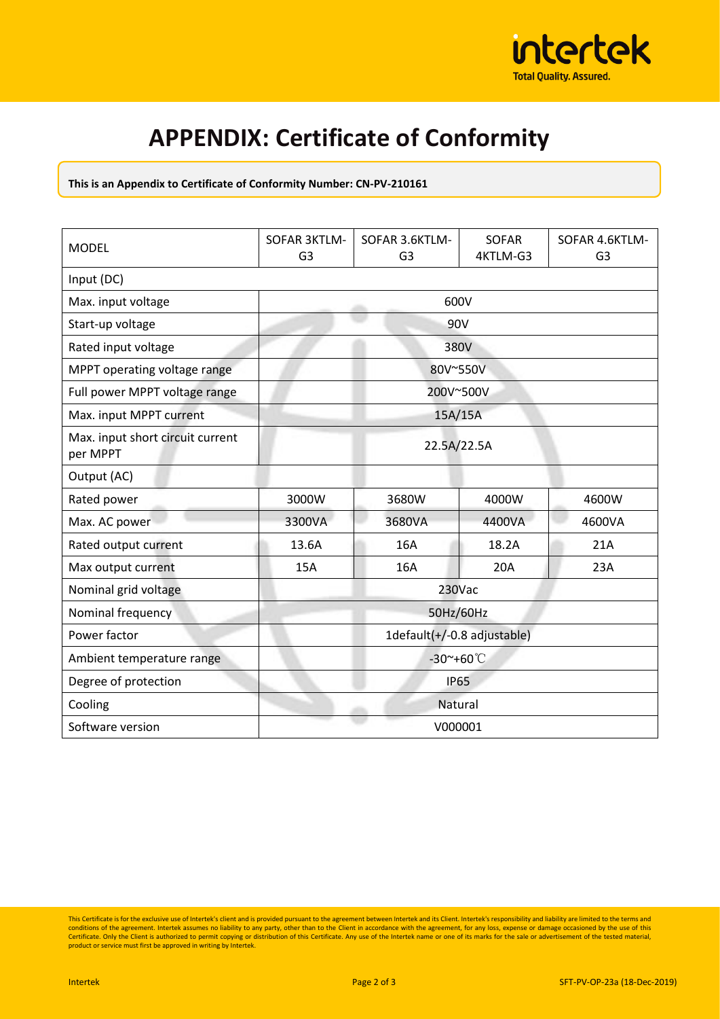

## **APPENDIX: Certificate of Conformity**

#### **This is an Appendix to Certificate of Conformity Number: CN-PV-210161**

| <b>MODEL</b>                                 | <b>SOFAR 3KTLM-</b><br>G <sub>3</sub> | SOFAR 3.6KTLM-<br>G <sub>3</sub> | <b>SOFAR</b><br>4KTLM-G3 | SOFAR 4.6KTLM-<br>G <sub>3</sub> |  |  |
|----------------------------------------------|---------------------------------------|----------------------------------|--------------------------|----------------------------------|--|--|
| Input (DC)                                   |                                       |                                  |                          |                                  |  |  |
| Max. input voltage                           | 600V                                  |                                  |                          |                                  |  |  |
| Start-up voltage                             | 90V                                   |                                  |                          |                                  |  |  |
| Rated input voltage                          |                                       | 380V                             |                          |                                  |  |  |
| MPPT operating voltage range                 |                                       | 80V~550V                         |                          |                                  |  |  |
| Full power MPPT voltage range                | 200V~500V                             |                                  |                          |                                  |  |  |
| Max. input MPPT current                      | 15A/15A                               |                                  |                          |                                  |  |  |
| Max. input short circuit current<br>per MPPT | 22.5A/22.5A                           |                                  |                          |                                  |  |  |
| Output (AC)                                  |                                       |                                  |                          |                                  |  |  |
| Rated power                                  | 3000W                                 | 3680W                            | 4000W                    | 4600W                            |  |  |
| Max. AC power                                | 3300VA                                | 3680VA                           | 4400VA                   | 4600VA                           |  |  |
| Rated output current                         | 13.6A                                 | 16A                              | 18.2A                    | 21A                              |  |  |
| Max output current                           | 15A                                   | 16A                              | 20A                      | 23A                              |  |  |
| Nominal grid voltage                         | 230Vac                                |                                  |                          |                                  |  |  |
| Nominal frequency                            | 50Hz/60Hz                             |                                  |                          |                                  |  |  |
| Power factor                                 | 1default(+/-0.8 adjustable)           |                                  |                          |                                  |  |  |
| Ambient temperature range                    | $-30$ $+60$ $\degree$ C               |                                  |                          |                                  |  |  |
| Degree of protection                         | <b>IP65</b>                           |                                  |                          |                                  |  |  |
| Cooling                                      | Natural                               |                                  |                          |                                  |  |  |
| Software version                             | V000001                               |                                  |                          |                                  |  |  |

This Certificate is for the exclusive use of Intertek's client and is provided pursuant to the agreement between Intertek and its Client. Intertek's responsibility and liability are limited to the terms and<br>conditions of t Certificate. Only the Client is authorized to permit copying or distribution of this Certificate. Any use of the Intertek name or one of its marks for the sale or advertisement of the tested material,<br>product or service mu